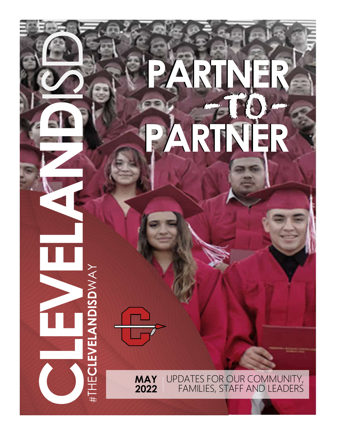# FLEX P PARTNER -TO-PARTNER PARTNER -TO-PARTNER

LEARNING TOGETHER | WORKING TOGETHER

AN UPDATE FOR OUR COMMUNITY **VIAT** OF DATES FOR OUR COMMUNIST<br>2022 FAMILIES STAEE AND LEAD WAY UPDATES UPDATES FOR OUR COMMUNITY, FAMILIES, STAFF AND LEADERS **MAY** UPDATES FOR OUR COI MAY<br>2022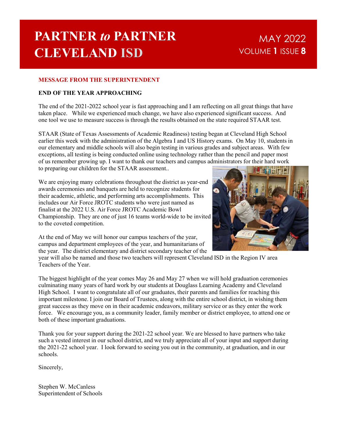## PARTNER to PARTNER CLEVELAND ISD

## MAY 2022 VOLUME 1 ISSUE 8

### MESSAGE FROM THE SUPERINTENDENT

#### END OF THE YEAR APPROACHING

The end of the 2021-2022 school year is fast approaching and I am reflecting on all great things that have taken place. While we experienced much change, we have also experienced significant success. And one tool we use to measure success is through the results obtained on the state required STAAR test.

STAAR (State of Texas Assessments of Academic Readiness) testing began at Cleveland High School earlier this week with the administration of the Algebra I and US History exams. On May 10, students in our elementary and middle schools will also begin testing in various grades and subject areas. With few exceptions, all testing is being conducted online using technology rather than the pencil and paper most of us remember growing up. I want to thank our teachers and campus administrators for their hard work to preparing our children for the STAAR assessment..

We are enjoying many celebrations throughout the district as year-end awards ceremonies and banquets are held to recognize students for their academic, athletic, and performing arts accomplishments. This includes our Air Force JROTC students who were just named as finalist at the 2022 U.S. Air Force JROTC Academic Bowl Championship. They are one of just 16 teams world-wide to be invited to the coveted competition.



At the end of May we will honor our campus teachers of the year, campus and department employees of the year, and humanitarians of the year. The district elementary and district secondary teacher of the

year will also be named and those two teachers will represent Cleveland ISD in the Region IV area Teachers of the Year.

The biggest highlight of the year comes May 26 and May 27 when we will hold graduation ceremonies culminating many years of hard work by our students at Douglass Learning Academy and Cleveland High School. I want to congratulate all of our graduates, their parents and families for reaching this important milestone. I join our Board of Trustees, along with the entire school district, in wishing them great success as they move on in their academic endeavors, military service or as they enter the work force. We encourage you, as a community leader, family member or district employee, to attend one or both of these important graduations.

Thank you for your support during the 2021-22 school year. We are blessed to have partners who take such a vested interest in our school district, and we truly appreciate all of your input and support during the 2021-22 school year. I look forward to seeing you out in the community, at graduation, and in our schools.

Sincerely,

Stephen W. McCanless Superintendent of Schools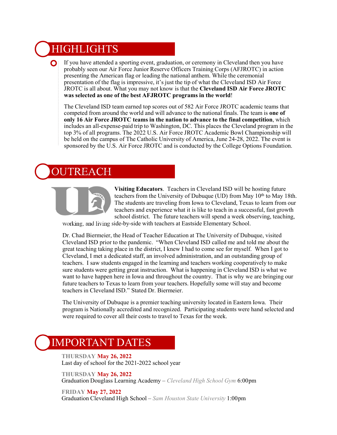## **HIGHLIGHTS**

If you have attended a sporting event, graduation, or ceremony in Cleveland then you have  $\mathbf{O}$ probably seen our Air Force Junior Reserve Officers Training Corps (AFJROTC) in action presenting the American flag or leading the national anthem. While the ceremonial presentation of the flag is impressive, it's just the tip of what the Cleveland ISD Air Force JROTC is all about. What you may not know is that the Cleveland ISD Air Force JROTC was selected as one of the best AFJROTC programs in the world!

The Cleveland ISD team earned top scores out of 582 Air Force JROTC academic teams that competed from around the world and will advance to the national finals. The team is one of only 16 Air Force JROTC teams in the nation to advance to the final competition, which includes an all-expense-paid trip to Washington, DC. This places the Cleveland program in the top 3% of all programs. The 2022 U.S. Air Force JROTC Academic Bowl Championship will be held on the campus of The Catholic University of America, June 24-28, 2022. The event is sponsored by the U.S. Air Force JROTC and is conducted by the College Options Foundation.

## TREACH



Visiting Educators. Teachers in Cleveland ISD will be hosting future teachers from the University of Dubuque (UD) from May 10<sup>th</sup> to May 18th. The students are traveling from Iowa to Cleveland, Texas to learn from our teachers and experience what it is like to teach in a successful, fast growth school district. The future teachers will spend a week observing, teaching,

working, and living side-by-side with teachers at Eastside Elementary School.

Dr. Chad Biermeier, the Head of Teacher Education at The University of Dubuque, visited Cleveland ISD prior to the pandemic. "When Cleveland ISD called me and told me about the great teaching taking place in the district, I knew I had to come see for myself. When I got to Cleveland, I met a dedicated staff, an involved administration, and an outstanding group of teachers. I saw students engaged in the learning and teachers working cooperatively to make sure students were getting great instruction. What is happening in Cleveland ISD is what we want to have happen here in Iowa and throughout the country. That is why we are bringing our future teachers to Texas to learn from your teachers. Hopefully some will stay and become teachers in Cleveland ISD." Stated Dr. Biermeier.

The University of Dubuque is a premier teaching university located in Eastern Iowa. Their program is Nationally accredited and recognized. Participating students were hand selected and were required to cover all their costs to travel to Texas for the week.

### IMPORTANT DATES

THURSDAY May 26, 2022 Last day of school for the 2021-2022 school year

THURSDAY May 26, 2022 Graduation Douglass Learning Academy – Cleveland High School Gym 6:00pm

FRIDAY May 27, 2022 Graduation Cleveland High School – Sam Houston State University 1:00pm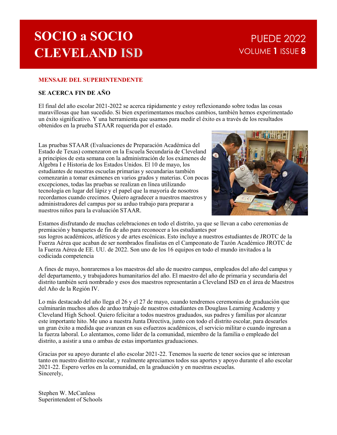## SOCIO a SOCIO CLEVELAND ISD

## PUEDE 2022 VOLUME 1 ISSUE 8

#### MENSAJE DEL SUPERINTENDENTE

#### SE ACERCA FIN DE AÑO

El final del año escolar 2021-2022 se acerca rápidamente y estoy reflexionando sobre todas las cosas maravillosas que han sucedido. Si bien experimentamos muchos cambios, también hemos experimentado un éxito significativo. Y una herramienta que usamos para medir el éxito es a través de los resultados obtenidos en la prueba STAAR requerida por el estado.

Las pruebas STAAR (Evaluaciones de Preparación Académica del Estado de Texas) comenzaron en la Escuela Secundaria de Cleveland a principios de esta semana con la administración de los exámenes de Álgebra I e Historia de los Estados Unidos. El 10 de mayo, los estudiantes de nuestras escuelas primarias y secundarias también comenzarán a tomar exámenes en varios grados y materias. Con pocas excepciones, todas las pruebas se realizan en línea utilizando tecnología en lugar del lápiz y el papel que la mayoría de nosotros recordamos cuando crecimos. Quiero agradecer a nuestros maestros y administradores del campus por su arduo trabajo para preparar a nuestros niños para la evaluación STAAR.



Estamos disfrutando de muchas celebraciones en todo el distrito, ya que se llevan a cabo ceremonias de premiación y banquetes de fin de año para reconocer a los estudiantes por sus logros académicos, atléticos y de artes escénicas. Esto incluye a nuestros estudiantes de JROTC de la Fuerza Aérea que acaban de ser nombrados finalistas en el Campeonato de Tazón Académico JROTC de la Fuerza Aérea de EE. UU. de 2022. Son uno de los 16 equipos en todo el mundo invitados a la codiciada competencia

A fines de mayo, honraremos a los maestros del año de nuestro campus, empleados del año del campus y del departamento, y trabajadores humanitarios del año. El maestro del año de primaria y secundaria del distrito también será nombrado y esos dos maestros representarán a Cleveland ISD en el área de Maestros del Año de la Región IV.

Lo más destacado del año llega el 26 y el 27 de mayo, cuando tendremos ceremonias de graduación que syour of vinces and the statement in the statement and the statement and the statement and the statement and the statement and the statement and the statement and the statement and the statement and the statement and the s Cleveland High School. Quiero felicitar a todos nuestros graduados, sus padres y familias por alcanzar este importante hito. Me uno a nuestra Junta Directiva, junto con todo el distrito escolar, para desearles un gran éxito a medida que avanzan en sus esfuerzos académicos, el servicio militar o cuando ingresan a la fuerza laboral. Lo alentamos, como líder de la comunidad, miembro de la familia o empleado del distrito, a asistir a una o ambas de estas importantes graduaciones.

Gracias por su apoyo durante el año escolar 2021-22. Tenemos la suerte de tener socios que se interesan tanto en nuestro distrito escolar, y realmente apreciamos todos sus aportes y apoyo durante el año escolar 2021-22. Espero verlos en la comunidad, en la graduación y en nuestras escuelas. Sincerely,

Stephen W. McCanless Superintendent of Schools